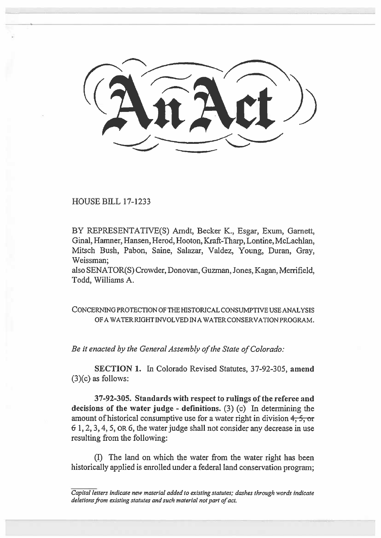**HOUSE BILL** 17-1233

BY REPRESENTATIVE(S) Arndt, Becker K., Esgar, Exum, Garnett, Ginal, Hamner, Hansen, Herod, Hooton, Kraft-Tharp, Lontine, McLachlan, Mitsch Bush, Pabon, Saine, Salazar, Valdez, Young, Duran, Gray, Weissman;

also SENATOR(S) Crowder, Donovan, Guzman, Jones, Kagan, Merrifield, Todd, Williams A.

CONCERNING PROTECTION OF THE HISTORICAL CONSUMPTIVE USE ANALYSIS OF A WATER RIGHT INVOLVED IN A WATER CONSERVATION PROGRAM.

*Be it enacted by the General Assembly of the State of Colorado:* 

**SECTION** 1. In Colorado Revised Statutes, 37-92-305, **amend**  (3)(c) as follows:

**37-92-305. Standards with respect to rulings of the referee and decisions of the water judge - definitions.** (3) (c) In determining the amount of historical consumptive use for a water right in division  $4, 5, \text{or}$ 6 **1,** 2, 3, 4, 5, OR 6, the water judge shall not consider any decrease in use resulting from the following:

(I) The land on which the water from the water right has been historically applied is enrolled under a federal land conservation program;

*Capital letters indicate new material added to existing statutes; dashes through words indicate deletions from existing statutes and such material not part of act.*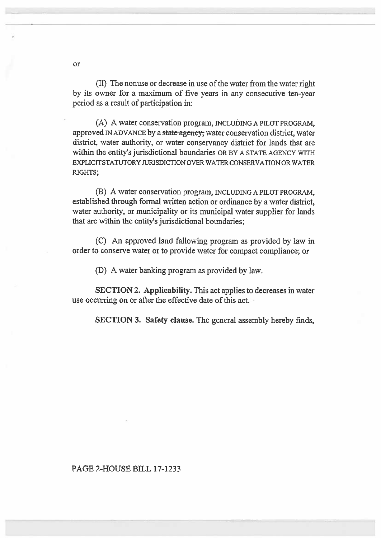(II) The nonuse or decrease in use of the water from the water right by its owner for a maximum of five years in any consecutive ten-year period as a result of participation in:

(A) A water conservation program, INCLUDING A PILOT PROGRAM, approved IN ADVANCE by a state agency; water conservation district, water district, water authority, or water conservancy district for lands that are within the entity's jurisdictional boundaries OR BY A STATE AGENCY WITH EXPLICIT STATUTORY JURISDICTION OVER WATER CONSERVATION OR WATER RIGHTS;

(B) A water conservation program, INCLUDING A PILOT PROGRAM, established through formal written action or ordinance by a water district, water authority, or municipality or its municipal water supplier for lands that are within the entity's jurisdictional boundaries;

(C) An approved land fallowing program as provided by law in order to conserve water or to provide water for compact compliance; or

(D) A water banking program as provided by law.

**SECTION 2. Applicability.** This act applies to decreases in water use occurring on or after the effective date of this act.

**SECTION 3. Safety clause.** The general assembly hereby finds,

## PAGE 2-HOUSE BILL 17-1233

or